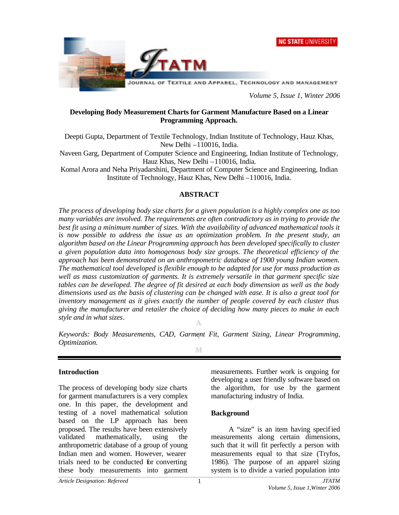



*Volume 5, Issue 1, Winter 2006*

### **Developing Body Measurement Charts for Garment Manufacture Based on a Linear Programming Approach.**

Deepti Gupta, Department of Textile Technology, Indian Institute of Technology, Hauz Khas, New Delhi –110016, India.

Naveen Garg, Department of Computer Science and Engineering, Indian Institute of Technology, Hauz Khas, New Delhi –110016, India.

Komal Arora and Neha Priyadarshini, Department of Computer Science and Engineering, Indian Institute of Technology, Hauz Khas, New Delhi –110016, India.

### **ABSTRACT**

*The process of developing body size charts for a given population is a highly complex one as too many variables are involved. The requirements are often contradictory as in trying to provide the*  best fit using a minimum number of sizes. With the availability of advanced mathematical tools it *is now possible to address the issue as an optimization problem. In the present study, an algorithm based on the Linear Programming approach has been developed specifically to cluster a given population data into homogenous body size groups. The theoretical efficiency of the approach has been demonstrated on an anthropometric database of 1900 young Indian women. The mathematical tool developed is flexible enough to be adapted for use for mass production as well as mass customization of garments. It is extremely versatile in that garment specific size tables can be developed. The degree of fit desired at each body dimension as well as the body dimensions used as the basis of clustering can be changed with ease. It is also a great tool for inventory management as it gives exactly the number of people covered by each cluster thus giving the manufacturer and retailer the choice of deciding how many pieces to make in each style and in what sizes.* A

*Keywords: Body Measurements, CAD, Garment Fit, Garment Sizing, Linear Programming, Optimization.*

M

### **Introduction**

The process of developing body size charts for garment manufacturers is a very complex one. In this paper, the development and testing of a novel mathematical solution based on the LP approach has been proposed. The results have been extensively validated mathematically, using the anthropometric database of a group of young Indian men and women. However, wearer trials need to be conducted for converting these body measurements into garment

measurements. Further work is ongoing for developing a user friendly software based on the algorithm, for use by the garment manufacturing industry of India.

#### **Background**

A "size" is an item having specified measurements along certain dimensions, such that it will fit perfectly a person with measurements equal to that size (Tryfos, 1986). The purpose of an apparel sizing system is to divide a varied population into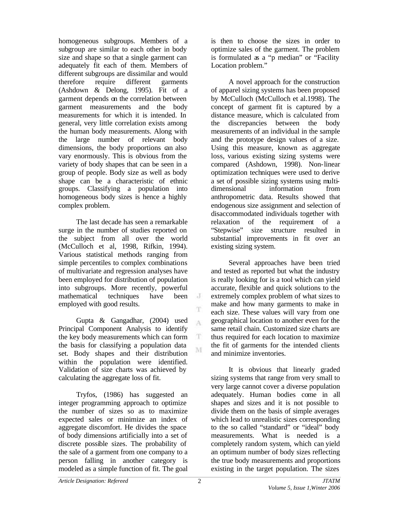homogeneous subgroups. Members of a subgroup are similar to each other in body size and shape so that a single garment can adequately fit each of them. Members of different subgroups are dissimilar and would therefore require different garments (Ashdown & Delong, 1995). Fit of a garment depends on the correlation between garment measurements and the body measurements for which it is intended. In general, very little correlation exists among the human body measurements. Along with the large number of relevant body dimensions, the body proportions can also vary enormously. This is obvious from the variety of body shapes that can be seen in a group of people. Body size as well as body shape can be a characteristic of ethnic groups. Classifying a population into homogeneous body sizes is hence a highly complex problem.

The last decade has seen a remarkable surge in the number of studies reported on the subject from all over the world (McCulloch et al, 1998, Rifkin, 1994). Various statistical methods ranging from simple percentiles to complex combinations of multivariate and regression analyses have been employed for distribution of population into subgroups. More recently, powerful mathematical techniques have been employed with good results.

Gupta & Gangadhar, (2004) used Principal Component Analysis to identify the key body measurements which can form the basis for classifying a population data set. Body shapes and their distribution within the population were identified. Validation of size charts was achieved by calculating the aggregate loss of fit.

Tryfos, (1986) has suggested an integer programming approach to optimize the number of sizes so as to maximize expected sales or minimize an index of aggregate discomfort. He divides the space of body dimensions artificially into a set of discrete possible sizes. The probability of the sale of a garment from one company to a person falling in another category is modeled as a simple function of fit. The goal

is then to choose the sizes in order to optimize sales of the garment. The problem is formulated as a "p median" or "Facility Location problem."

A novel approach for the construction of apparel sizing systems has been proposed by McCulloch (McCulloch et al.1998). The concept of garment fit is captured by a distance measure, which is calculated from the discrepancies between the body measurements of an individual in the sample and the prototype design values of a size. Using this measure, known as aggregate loss, various existing sizing systems were compared (Ashdown, 1998). Non-linear optimization techniques were used to derive a set of possible sizing systems using multidimensional information from anthropometric data. Results showed that endogenous size assignment and selection of disaccommodated individuals together with relaxation of the requirement of a "Stepwise" size structure resulted in substantial improvements in fit over an existing sizing system.

Several approaches have been tried and tested as reported but what the industry is really looking for is a tool which can yield accurate, flexible and quick solutions to the extremely complex problem of what sizes to make and how many garments to make in each size. These values will vary from one geographical location to another even for the same retail chain. Customized size charts are thus required for each location to maximize the fit of garments for the intended clients and minimize inventories.

It is obvious that linearly graded sizing systems that range from very small to very large cannot cover a diverse population adequately. Human bodies come in all shapes and sizes and it is not possible to divide them on the basis of simple averages which lead to unrealistic sizes corresponding to the so called "standard" or "ideal" body measurements. What is needed is a completely random system, which can yield an optimum number of body sizes reflecting the true body measurements and proportions existing in the target population. The sizes

 $\cdot$  J

T A

T. M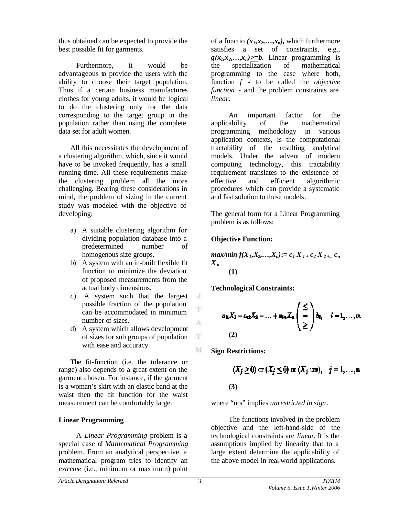thus obtained can be expected to provide the best possible fit for garments.

Furthermore, it would be advantageous to provide the users with the ability to choose their target population. Thus if a certain business manufactures clothes for young adults, it would be logical to do the clustering only for the data corresponding to the target group in the population rather than using the complete data set for adult women.

All this necessitates the development of a clustering algorithm, which, since it would have to be invoked frequently, has a small running time. All these requirements make the clustering problem all the more challenging. Bearing these considerations in mind, the problem of sizing in the current study was modeled with the objective of developing:

- a) A suitable clustering algorithm for dividing population database into a predetermined number of homogenous size groups.
- b) A system with an in-built flexible fit function to minimize the deviation of proposed measurements from the actual body dimensions.
- c) A system such that the largest possible fraction of the population can be accommodated in minimum number of sizes.
- d) A system which allows development of sizes for sub groups of population with ease and accuracy.

The fit-function (i.e. the tolerance or range) also depends to a great extent on the garment chosen. For instance, if the garment is a woman's skirt with an elastic band at the waist then the fit function for the waist measurement can be comfortably large.

## **Linear Programming**

A *Linear Programming* problem is a special case of *Mathematical Programming* problem. From an analytical perspective, a mathematical program tries to identify an *extreme* (i.e., minimum or maximum) point

of a functio  $(x_1, x_2, \ldots, x_n)$ , which furthermore satisfies a set of constraints, e.g.,  $g(x_1, x_2, \ldots, x_n) \geq b$ . Linear programming is the specialization of mathematical programming to the case where both, function *f* - to be called the *objective function* - and the problem constraints are *linear*.

An important factor for the applicability of the mathematical programming methodology in various application contexts, is the computational tractability of the resulting analytical models. Under the advent of modern computing technology, this tractability requirement translates to the existence of effective and efficient algorithmic procedures which can provide a systematic and fast solution to these models.

The general form for a Linear Programming problem is as follows:

## **Objective Function:**

$$
\begin{aligned}\n\max/min \, f(X_1, X_2, \ldots, X_n) &:= c_1 \, X_{1+} \, c_2 \, X_{2+...} \, c_n \\
(X_n \quad (1)\n\end{aligned}
$$

**Technological Constraints:**

$$
a_{i1}X_1 - a_{i2}X_2 - \ldots + a_{in}X_n \begin{pmatrix} \le \\ = \\ \ge \end{pmatrix} b_{i_1} \quad i = 1, \ldots, m
$$
  
(2)

**Sign Restrictions:**

$$
(X_j \ge 0) \text{ or } (X_j \le 0) \text{ or } (X_j \text{ urs}), \quad j = 1, \dots, n
$$
  
(3)

where "urs" implies *unrestricted in sign*.

The functions involved in the problem objective and the left-hand-side of the technological constraints are *linear*. It is the assumptions implied by linearity that to a large extent determine the applicability of the above model in real-world applications.

 $\mathbf{J}$ 

T

A

 $\mathbf{T}$ 

M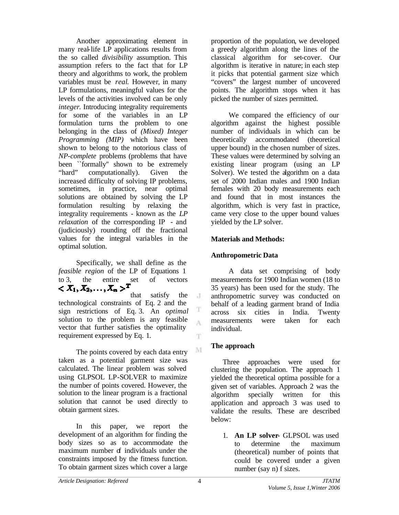Another approximating element in many real-life LP applications results from the so called *divisibility* assumption. This assumption refers to the fact that for LP theory and algorithms to work, the problem variables must be *real*. However, in many LP formulations, meaningful values for the levels of the activities involved can be only *integer*. Introducing integrality requirements for some of the variables in an LP formulation turns the problem to one belonging in the class of *(Mixed) Integer Programming (MIP)* which have been shown to belong to the notorious class of *NP-complete* problems (problems that have been ``formally'' shown to be extremely "hard" computationally). Given the increased difficulty of solving IP problems, sometimes, in practice, near optimal solutions are obtained by solving the LP formulation resulting by relaxing the integrality requirements - known as the *LP relaxation* of the corresponding IP - and (judiciously) rounding off the fractional values for the integral variables in the optimal solution.

Specifically, we shall define as the *feasible region* of the LP of Equations 1 to 3, the entire set of vectors<br>  $\langle X_1, X_2, \dots, X_n \rangle^T$ 

that satisfy the technological constraints of Eq. 2 and the sign restrictions of Eq. 3. An *optimal* solution to the problem is any feasible vector that further satisfies the optimality requirement expressed by Eq. 1.

The points covered by each data entry taken as a potential garment size was calculated. The linear problem was solved using GLPSOL LP-SOLVER to maximize the number of points covered. However, the solution to the linear program is a fractional solution that cannot be used directly to obtain garment sizes.

In this paper, we report the development of an algorithm for finding the body sizes so as to accommodate the maximum number of individuals under the constraints imposed by the fitness function. To obtain garment sizes which cover a large

proportion of the population, we developed a greedy algorithm along the lines of the classical algorithm for set-cover. Our algorithm is iterative in nature; in each step it picks that potential garment size which "covers" the largest number of uncovered points. The algorithm stops when it has picked the number of sizes permitted.

We compared the efficiency of our algorithm against the highest possible number of individuals in which can be theoretically accommodated (theoretical upper bound) in the chosen number of sizes. These values were determined by solving an existing linear program (using an LP Solver). We tested the algorithm on a data set of 2000 Indian males and 1900 Indian females with 20 body measurements each and found that in most instances the algorithm, which is very fast in practice, came very close to the upper bound values yielded by the LP solver.

## **Materials and Methods:**

## **Anthropometric Data**

A data set comprising of body measurements for 1900 Indian women (18 to 35 years) has been used for the study. The anthropometric survey was conducted on behalf of a leading garment brand of India across six cities in India. Twenty measurements were taken for each individual.

## **The approach**

Three approaches were used for clustering the population. The approach 1 yielded the theoretical optima possible for a given set of variables. Approach 2 was the algorithm specially written for this application and approach 3 was used to validate the results. These are described below:

1. **An LP solver**- GLPSOL was used to determine the maximum (theoretical) number of points that could be covered under a given number (say n) f sizes.

 $\cdot$ T

T A

T.

 $\mathbf{M}$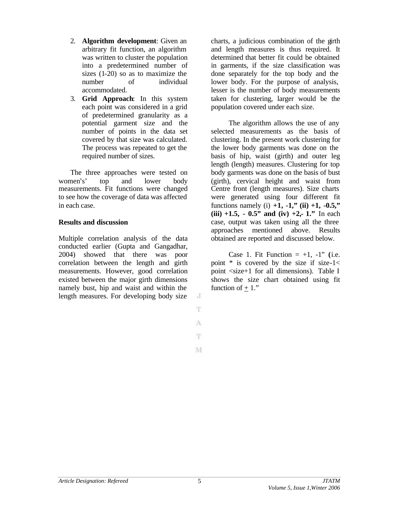- 2. **Algorithm development**: Given an arbitrary fit function, an algorithm was written to cluster the population into a predetermined number of sizes (1-20) so as to maximize the number of individual accommodated.
- 3. **Grid Approach**: In this system each point was considered in a grid of predetermined granularity as a potential garment size and the number of points in the data set covered by that size was calculated. The process was repeated to get the required number of sizes.

The three approaches were tested on women's' top and lower body measurements. Fit functions were changed to see how the coverage of data was affected in each case.

### **Results and discussion**

Multiple correlation analysis of the data conducted earlier (Gupta and Gangadhar, 2004) showed that there was poor correlation between the length and girth measurements. However, good correlation existed between the major girth dimensions namely bust, hip and waist and within the length measures. For developing body size

charts, a judicious combination of the girth and length measures is thus required. It determined that better fit could be obtained in garments, if the size classification was done separately for the top body and the lower body. For the purpose of analysis, lesser is the number of body measurements taken for clustering, larger would be the population covered under each size.

The algorithm allows the use of any selected measurements as the basis of clustering. In the present work clustering for the lower body garments was done on the basis of hip, waist (girth) and outer leg length (length) measures. Clustering for top body garments was done on the basis of bust (girth), cervical height and waist from Centre front (length measures). Size charts were generated using four different fit functions namely (i)  $+1$ ,  $-1$ ," (ii)  $+1$ ,  $-0.5$ ," **(iii) +1.5, - 0.5" and (iv) +2,- 1."** In each case, output was taken using all the three approaches mentioned above. Results obtained are reported and discussed below.

Case 1. Fit Function  $= +1, -1$ " (i.e. point  $*$  is covered by the size if size-1< point <size+1 for all dimensions). Table I shows the size chart obtained using fit function of  $+1$ ."

J T.

A T.

M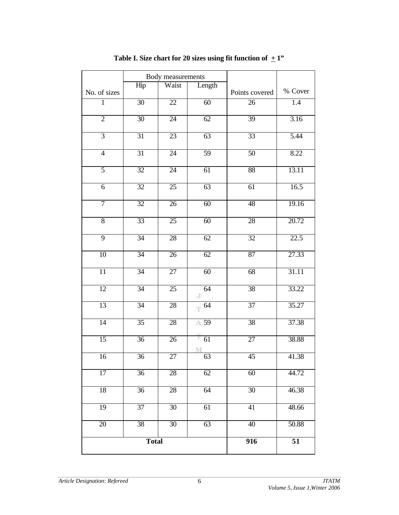|                 | Body measurements |                 |                 |                  |                 |
|-----------------|-------------------|-----------------|-----------------|------------------|-----------------|
| No. of sizes    | Hip               | Waist           | Length          | Points covered   | % Cover         |
| $\mathbf{1}$    | 30                | $\overline{22}$ | 60              | $\overline{26}$  | 1.4             |
| $\overline{2}$  | 30                | $\overline{24}$ | 62              | 39               | 3.16            |
| $\overline{3}$  | 31                | 23              | 63              | 33               | 5.44            |
| $\overline{4}$  | 31                | $\overline{24}$ | 59              | $\overline{50}$  | 8.22            |
| 5               | $\overline{32}$   | 24              | 61              | 88               | 13.11           |
| $\overline{6}$  | 32                | 25              | 63              | 61               | 16.5            |
| 7               | $\overline{32}$   | $\overline{26}$ | $\overline{60}$ | 48               | 19.16           |
| $\overline{8}$  | 33                | $\overline{25}$ | $\overline{60}$ | 28               | 20.72           |
| $\overline{9}$  | 34                | 28              | 62              | $\overline{32}$  | 22.5            |
| 10              | 34                | $\overline{26}$ | 62              | 87               | 27.33           |
| $\overline{11}$ | 34                | 27              | 60              | 68               | 31.11           |
| 12              | 34                | $\overline{25}$ | 64<br>J         | 38               | 33.22           |
| 13              | 34                | 28              | $\mathbb{T}$ 64 | $\overline{37}$  | 35.27           |
| 14              | $\overline{35}$   | 28              | A 59            | 38               | 37.38           |
| 15              | $\overline{36}$   | $\overline{26}$ | ON.<br>61<br>M  | $\overline{27}$  | 38.88           |
| 16              | $\overline{36}$   | $\overline{27}$ | 63              | 45               | 41.38           |
| 17              | $\overline{36}$   | 28              | 62              | 60               | 44.72           |
| 18              | $\overline{36}$   | 28              | 64              | $\overline{30}$  | 46.38           |
| 19              | $\overline{37}$   | 30              | 61              | 41               | 48.66           |
| 20              | 38                | 30              | 63              | 40               | 50.88           |
| <b>Total</b>    |                   |                 |                 | $\overline{916}$ | $\overline{51}$ |

# Table I. Size chart for 20 sizes using fit function of  $+1$ "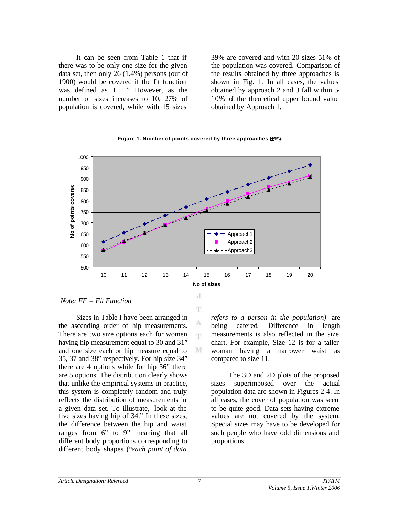It can be seen from Table 1 that if there was to be only one size for the given data set, then only 26 (1.4%) persons (out of 1900) would be covered if the fit function was defined as  $+ 1$ ." However, as the number of sizes increases to 10, 27% of population is covered, while with 15 sizes

39% are covered and with 20 sizes 51% of the population was covered. Comparison of the results obtained by three approaches is shown in Fig. 1. In all cases, the values obtained by approach 2 and 3 fall within 5- 10% of the theoretical upper bound value obtained by Approach 1.

#### **Figure 1. Number of points covered by three approaches (FF)**



T

А 'n.

M

 *Note: FF = Fit Function*

Sizes in Table I have been arranged in the ascending order of hip measurements. There are two size options each for women having hip measurement equal to 30 and 31" and one size each or hip measure equal to 35, 37 and 38" respectively. For hip size 34" there are 4 options while for hip 36" there are 5 options. The distribution clearly shows that unlike the empirical systems in practice, this system is completely random and truly reflects the distribution of measurements in a given data set. To illustrate, look at the five sizes having hip of 34." In these sizes, the difference between the hip and waist ranges from 6" to 9" meaning that all different body proportions corresponding to different body shapes (*\*each point of data* 

*refers to a person in the population)* are being catered. Difference in length measurements is also reflected in the size chart. For example, Size 12 is for a taller woman having a narrower waist as compared to size 11.

The 3D and 2D plots of the proposed sizes superimposed over the actual population data are shown in Figures 2-4. In all cases, the cover of population was seen to be quite good. Data sets having extreme values are not covered by the system. Special sizes may have to be developed for such people who have odd dimensions and proportions.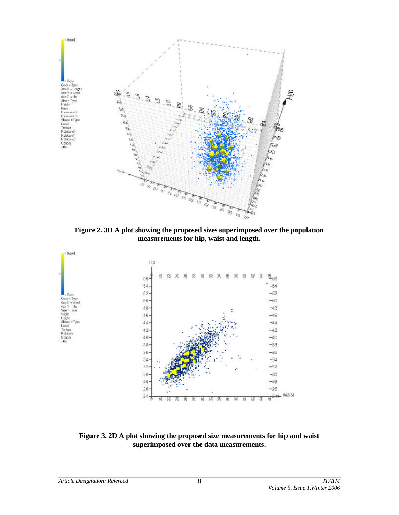

**Figure 2. 3D A plot showing the proposed sizes superimposed over the population measurements for hip, waist and length.**



**Figure 3. 2D A plot showing the proposed size measurements for hip and waist superimposed over the data measurements.**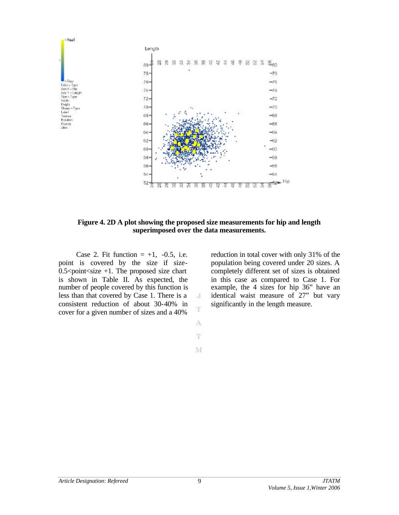

**Figure 4. 2D A plot showing the proposed size measurements for hip and length superimposed over the data measurements.**

J T

A T

M

Case 2. Fit function  $= +1$ ,  $-0.5$ , i.e. point is covered by the size if size-0.5 $\le$ point $\le$ size +1. The proposed size chart is shown in Table II. As expected, the number of people covered by this function is less than that covered by Case 1. There is a consistent reduction of about 30-40% in cover for a given number of sizes and a 40%

reduction in total cover with only 31% of the population being covered under 20 sizes. A completely different set of sizes is obtained in this case as compared to Case 1. For example, the 4 sizes for hip 36" have an identical waist measure of 27" but vary significantly in the length measure.

9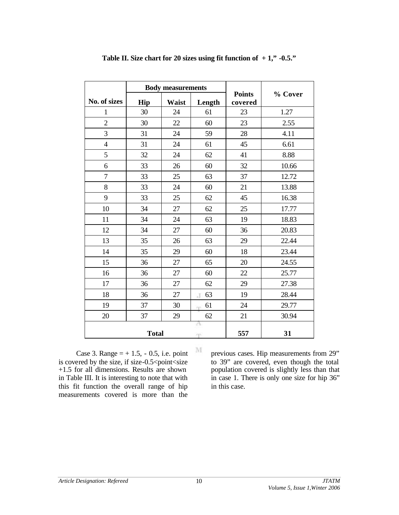|                | <b>Body measurements</b> |              |         |                          |         |
|----------------|--------------------------|--------------|---------|--------------------------|---------|
| No. of sizes   | Hip                      | <b>Waist</b> | Length  | <b>Points</b><br>covered | % Cover |
| $\mathbf{1}$   | 30                       | 24           | 61      | 23                       | 1.27    |
| $\overline{2}$ | 30                       | 22           | 60      | 23                       | 2.55    |
| $\overline{3}$ | 31                       | 24           | 59      | 28                       | 4.11    |
| 4              | 31                       | 24           | 61      | 45                       | 6.61    |
| 5              | 32                       | 24           | 62      | 41                       | 8.88    |
| 6              | 33                       | 26           | 60      | 32                       | 10.66   |
| 7              | 33                       | 25           | 63      | 37                       | 12.72   |
| 8              | 33                       | 24           | 60      | 21                       | 13.88   |
| 9              | 33                       | 25           | 62      | 45                       | 16.38   |
| 10             | 34                       | 27           | 62      | 25                       | 17.77   |
| 11             | 34                       | 24           | 63      | 19                       | 18.83   |
| 12             | 34                       | 27           | 60      | 36                       | 20.83   |
| 13             | 35                       | 26           | 63      | 29                       | 22.44   |
| 14             | 35                       | 29           | 60      | 18                       | 23.44   |
| 15             | 36                       | 27           | 65      | 20                       | 24.55   |
| 16             | 36                       | 27           | 60      | 22                       | 25.77   |
| 17             | 36                       | 27           | 62      | 29                       | 27.38   |
| 18             | 36                       | 27           | 63<br>J | 19                       | 28.44   |
| 19             | 37                       | 30           | 61      | 24                       | 29.77   |
| 20             | 37                       | 29           | 62      | 21                       | 30.94   |
|                | <b>Total</b>             |              | Α<br>m  | 557                      | 31      |

**Table II. Size chart for 20 sizes using fit function of + 1," -0.5."**

Case 3. Range  $= +1.5, -0.5$ , i.e. point is covered by the size, if size-0.5 $\le$ point $\le$ size +1.5 for all dimensions. Results are shown in Table III. It is interesting to note that with this fit function the overall range of hip measurements covered is more than the previous cases. Hip measurements from 29" to 39" are covered, even though the total population covered is slightly less than that in case 1. There is only one size for hip 36" in this case.

 $\mathbf{M}$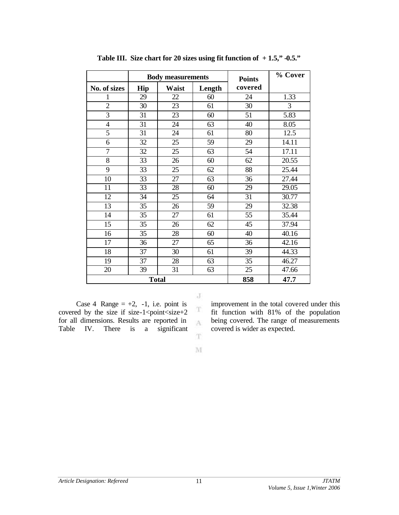|                | <b>Body measurements</b> |       | <b>Points</b> | % Cover |       |
|----------------|--------------------------|-------|---------------|---------|-------|
| No. of sizes   | Hip                      | Waist | Length        | covered |       |
| 1              | 29                       | 22    | 60            | 24      | 1.33  |
| $\overline{2}$ | 30                       | 23    | 61            | 30      | 3     |
| 3              | 31                       | 23    | 60            | 51      | 5.83  |
| $\overline{4}$ | 31                       | 24    | 63            | 40      | 8.05  |
| 5              | 31                       | 24    | 61            | 80      | 12.5  |
| 6              | 32                       | 25    | 59            | 29      | 14.11 |
| 7              | 32                       | 25    | 63            | 54      | 17.11 |
| 8              | 33                       | 26    | 60            | 62      | 20.55 |
| 9              | 33                       | 25    | 62            | 88      | 25.44 |
| 10             | 33                       | 27    | 63            | 36      | 27.44 |
| 11             | 33                       | 28    | 60            | 29      | 29.05 |
| 12             | 34                       | 25    | 64            | 31      | 30.77 |
| 13             | 35                       | 26    | 59            | 29      | 32.38 |
| 14             | 35                       | 27    | 61            | 55      | 35.44 |
| 15             | 35                       | 26    | 62            | 45      | 37.94 |
| 16             | 35                       | 28    | 60            | 40      | 40.16 |
| 17             | 36                       | 27    | 65            | 36      | 42.16 |
| 18             | 37                       | 30    | 61            | 39      | 44.33 |
| 19             | 37                       | 28    | 63            | 35      | 46.27 |
| 20             | 39                       | 31    | 63            | 25      | 47.66 |
| <b>Total</b>   |                          |       |               | 858     | 47.7  |

**Table III. Size chart for 20 sizes using fit function of + 1.5," -0.5."**

Case 4 Range  $= +2$ ,  $-1$ , i.e. point is covered by the size if size-1<point  $\leq$ size+2 for all dimensions. Results are reported in Table IV. There is a significant

improvement in the total covered under this fit function with 81% of the population being covered. The range of measurements covered is wider as expected.

 $\mathbf{M}$ 

T

J

 $\mathbf T$  $\Lambda$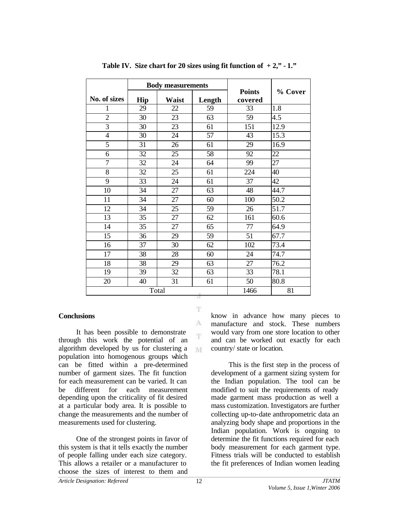|                | <b>Body measurements</b> |       |        |                          |         |
|----------------|--------------------------|-------|--------|--------------------------|---------|
| No. of sizes   | Hip                      | Waist | Length | <b>Points</b><br>covered | % Cover |
| 1              | 29                       | 22    | 59     | 33                       | 1.8     |
| $\overline{2}$ | 30                       | 23    | 63     | 59                       | 4.5     |
| $\overline{3}$ | 30                       | 23    | 61     | 151                      | 12.9    |
| $\overline{4}$ | 30                       | 24    | 57     | 43                       | 15.3    |
| 5              | 31                       | 26    | 61     | 29                       | 16.9    |
| 6              | 32                       | 25    | 58     | 92                       | 22      |
| $\overline{7}$ | 32                       | 24    | 64     | 99                       | 27      |
| 8              | 32                       | 25    | 61     | 224                      | 40      |
| 9              | 33                       | 24    | 61     | 37                       | 42      |
| 10             | 34                       | 27    | 63     | 48                       | 44.7    |
| 11             | 34                       | 27    | 60     | 100                      | 50.2    |
| 12             | 34                       | 25    | 59     | 26                       | 51.7    |
| 13             | 35                       | 27    | 62     | 161                      | 60.6    |
| 14             | 35                       | 27    | 65     | 77                       | 64.9    |
| 15             | 36                       | 29    | 59     | 51                       | 67.7    |
| 16             | 37                       | 30    | 62     | 102                      | 73.4    |
| 17             | 38                       | 28    | 60     | 24                       | 74.7    |
| 18             | 38                       | 29    | 63     | 27                       | 76.2    |
| 19             | 39                       | 32    | 63     | 33                       | 78.1    |
| 20             | 40                       | 31    | 61     | 50                       | 80.8    |
| Total          |                          |       |        | 1466                     | 81      |

T.

A T.

M

**Table IV.** Size chart for 20 sizes using fit function of  $+2$ ,"  $-1$ ."

#### **Conclusions**

It has been possible to demonstrate through this work the potential of an algorithm developed by us for clustering a population into homogenous groups which can be fitted within a pre-determined number of garment sizes. The fit function for each measurement can be varied. It can be different for each measurement depending upon the criticality of fit desired at a particular body area. It is possible to change the measurements and the number of measurements used for clustering.

One of the strongest points in favor of this system is that it tells exactly the number of people falling under each size category. This allows a retailer or a manufacturer to choose the sizes of interest to them and

know in advance how many pieces to manufacture and stock. These numbers would vary from one store location to other and can be worked out exactly for each country/ state or location.

This is the first step in the process of development of a garment sizing system for the Indian population. The tool can be modified to suit the requirements of ready made garment mass production as well a mass customization. Investigators are further collecting up-to-date anthropometric data an analyzing body shape and proportions in the Indian population. Work is ongoing to determine the fit functions required for each body measurement for each garment type. Fitness trials will be conducted to establish the fit preferences of Indian women leading